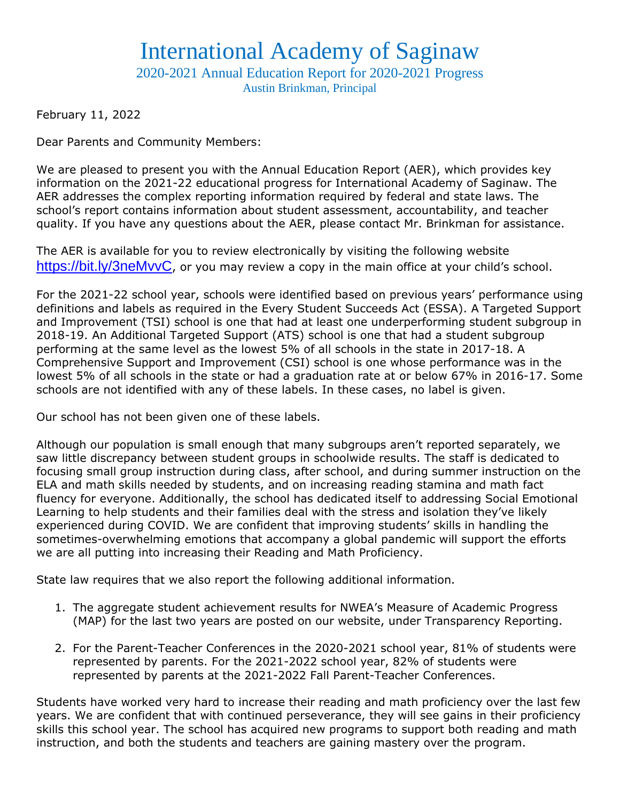## International Academy of Saginaw

2020-2021 Annual Education Report for 2020-2021 Progress Austin Brinkman, Principal

February 11, 2022

Dear Parents and Community Members:

We are pleased to present you with the Annual Education Report (AER), which provides key information on the 2021-22 educational progress for International Academy of Saginaw. The AER addresses the complex reporting information required by federal and state laws. The school's report contains information about student assessment, accountability, and teacher quality. If you have any questions about the AER, please contact Mr. Brinkman for assistance.

The AER is available for you to review electronically by visiting the following website <https://bit.ly/3neMvvC>, or you may review a copy in the main office at your child's school.

For the 2021-22 school year, schools were identified based on previous years' performance using definitions and labels as required in the Every Student Succeeds Act (ESSA). A Targeted Support and Improvement (TSI) school is one that had at least one underperforming student subgroup in 2018-19. An Additional Targeted Support (ATS) school is one that had a student subgroup performing at the same level as the lowest 5% of all schools in the state in 2017-18. A Comprehensive Support and Improvement (CSI) school is one whose performance was in the lowest 5% of all schools in the state or had a graduation rate at or below 67% in 2016-17. Some schools are not identified with any of these labels. In these cases, no label is given.

Our school has not been given one of these labels.

Although our population is small enough that many subgroups aren't reported separately, we saw little discrepancy between student groups in schoolwide results. The staff is dedicated to focusing small group instruction during class, after school, and during summer instruction on the ELA and math skills needed by students, and on increasing reading stamina and math fact fluency for everyone. Additionally, the school has dedicated itself to addressing Social Emotional Learning to help students and their families deal with the stress and isolation they've likely experienced during COVID. We are confident that improving students' skills in handling the sometimes-overwhelming emotions that accompany a global pandemic will support the efforts we are all putting into increasing their Reading and Math Proficiency.

State law requires that we also report the following additional information.

- 1. The aggregate student achievement results for NWEA's Measure of Academic Progress (MAP) for the last two years are posted on our website, under Transparency Reporting.
- 2. For the Parent-Teacher Conferences in the 2020-2021 school year, 81% of students were represented by parents. For the 2021-2022 school year, 82% of students were represented by parents at the 2021-2022 Fall Parent-Teacher Conferences.

Students have worked very hard to increase their reading and math proficiency over the last few years. We are confident that with continued perseverance, they will see gains in their proficiency skills this school year. The school has acquired new programs to support both reading and math instruction, and both the students and teachers are gaining mastery over the program.